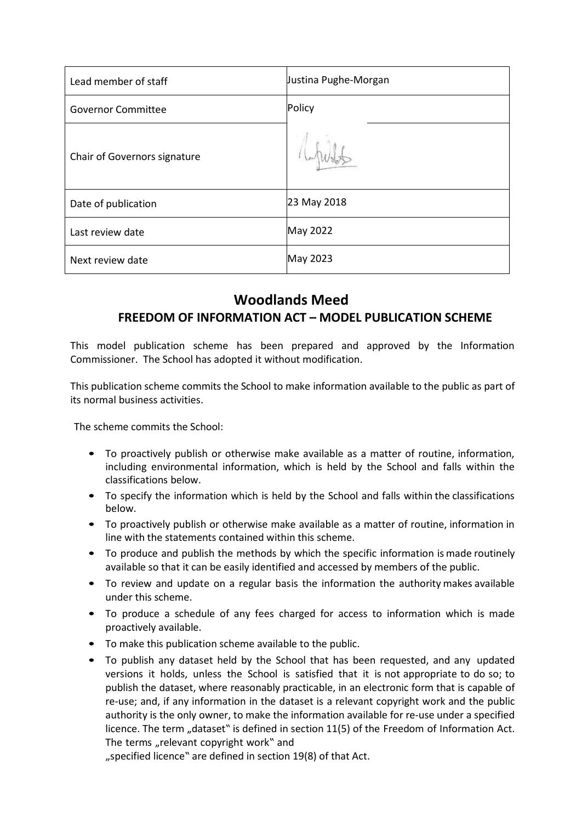| Lead member of staff         | Justina Pughe-Morgan |
|------------------------------|----------------------|
| <b>Governor Committee</b>    | Policy               |
| Chair of Governors signature |                      |
| Date of publication          | 23 May 2018          |
| Last review date             | May 2022             |
| Next review date             | May 2023             |

# **Woodlands Meed FREEDOM OF INFORMATION ACT – MODEL PUBLICATION SCHEME**

This model publication scheme has been prepared and approved by the Information Commissioner. The School has adopted it without modification.

This publication scheme commits the School to make information available to the public as part of its normal business activities.

The scheme commits the School:

- To proactively publish or otherwise make available as a matter of routine, information, including environmental information, which is held by the School and falls within the classifications below.
- To specify the information which is held by the School and falls within the classifications below.
- To proactively publish or otherwise make available as a matter of routine, information in line with the statements contained within this scheme.
- To produce and publish the methods by which the specific information is made routinely available so that it can be easily identified and accessed by members of the public.
- To review and update on a regular basis the information the authority makes available under this scheme.
- To produce a schedule of any fees charged for access to information which is made proactively available.
- To make this publication scheme available to the public.
- To publish any dataset held by the School that has been requested, and any updated versions it holds, unless the School is satisfied that it is not appropriate to do so; to publish the dataset, where reasonably practicable, in an electronic form that is capable of re-use; and, if any information in the dataset is a relevant copyright work and the public authority is the only owner, to make the information available for re-use under a specified licence. The term "dataset" is defined in section 11(5) of the Freedom of Information Act. The terms "relevant copyright work" and

"specified licence" are defined in section 19(8) of that Act.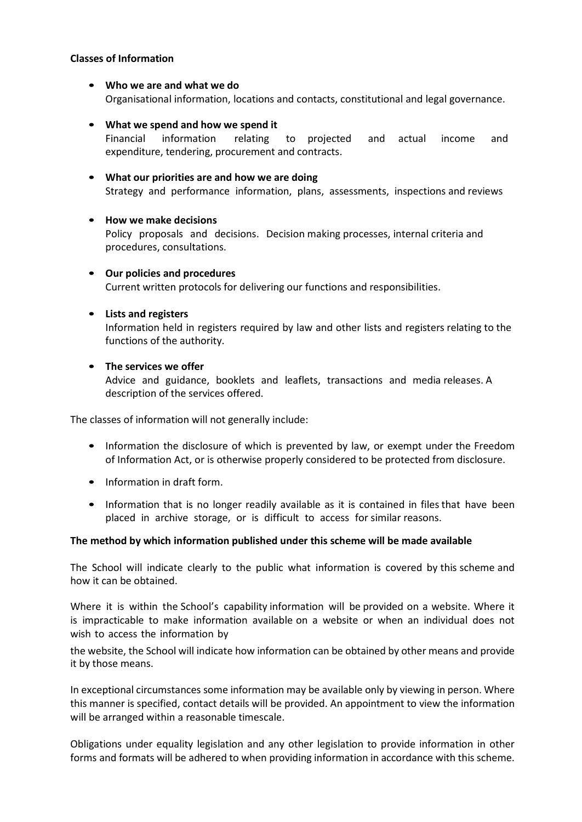### **Classes of Information**

• **Who we are and what we do** Organisational information, locations and contacts, constitutional and legal governance.

## • **What we spend and how we spend it**

Financial information relating to projected and actual income and expenditure, tendering, procurement and contracts.

# • **What our priorities are and how we are doing**

Strategy and performance information, plans, assessments, inspections and reviews

#### • **How we make decisions**

Policy proposals and decisions. Decision making processes, internal criteria and procedures, consultations.

• **Our policies and procedures** Current written protocols for delivering our functions and responsibilities.

## • **Lists and registers**

Information held in registers required by law and other lists and registers relating to the functions of the authority.

## • **The services we offer**

Advice and guidance, booklets and leaflets, transactions and media releases. A description of the services offered.

The classes of information will not generally include:

- Information the disclosure of which is prevented by law, or exempt under the Freedom of Information Act, or is otherwise properly considered to be protected from disclosure.
- Information in draft form.
- Information that is no longer readily available as it is contained in files that have been placed in archive storage, or is difficult to access for similar reasons.

#### **The method by which information published under this scheme will be made available**

The School will indicate clearly to the public what information is covered by this scheme and how it can be obtained.

Where it is within the School's capability information will be provided on a website. Where it is impracticable to make information available on a website or when an individual does not wish to access the information by

the website, the School will indicate how information can be obtained by other means and provide it by those means.

In exceptional circumstances some information may be available only by viewing in person. Where this manner is specified, contact details will be provided. An appointment to view the information will be arranged within a reasonable timescale.

Obligations under equality legislation and any other legislation to provide information in other forms and formats will be adhered to when providing information in accordance with this scheme.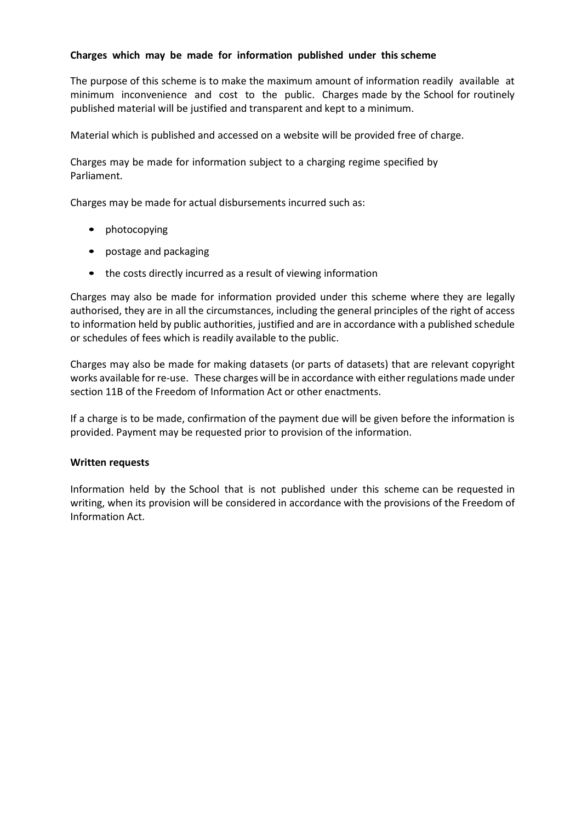## **Charges which may be made for information published under this scheme**

The purpose of this scheme is to make the maximum amount of information readily available at minimum inconvenience and cost to the public. Charges made by the School for routinely published material will be justified and transparent and kept to a minimum.

Material which is published and accessed on a website will be provided free of charge.

Charges may be made for information subject to a charging regime specified by Parliament.

Charges may be made for actual disbursements incurred such as:

- photocopying
- postage and packaging
- the costs directly incurred as a result of viewing information

Charges may also be made for information provided under this scheme where they are legally authorised, they are in all the circumstances, including the general principles of the right of access to information held by public authorities, justified and are in accordance with a published schedule or schedules of fees which is readily available to the public.

Charges may also be made for making datasets (or parts of datasets) that are relevant copyright works available for re-use. These charges will be in accordance with either regulations made under section 11B of the Freedom of Information Act or other enactments.

If a charge is to be made, confirmation of the payment due will be given before the information is provided. Payment may be requested prior to provision of the information.

# **Written requests**

Information held by the School that is not published under this scheme can be requested in writing, when its provision will be considered in accordance with the provisions of the Freedom of Information Act.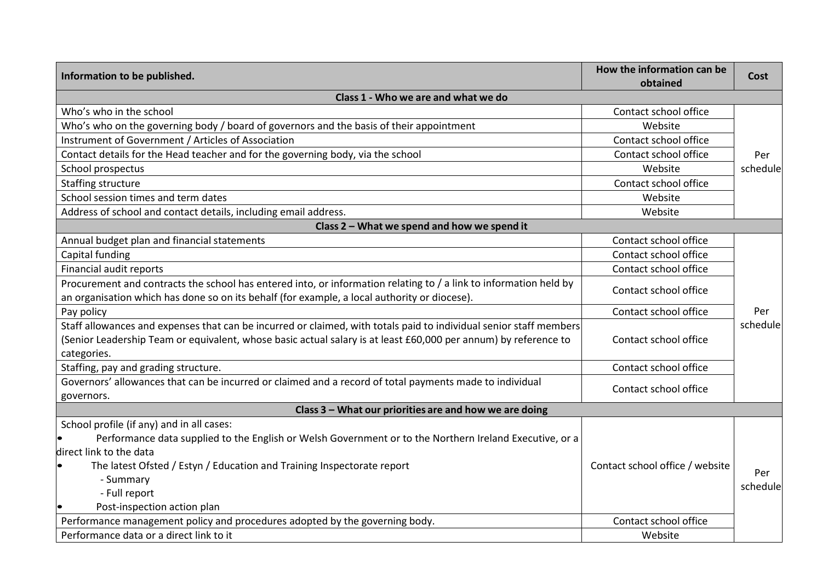| Information to be published.                                                                                                                                                                                      | How the information can be<br>obtained                                       | <b>Cost</b> |  |  |
|-------------------------------------------------------------------------------------------------------------------------------------------------------------------------------------------------------------------|------------------------------------------------------------------------------|-------------|--|--|
| Class 1 - Who we are and what we do                                                                                                                                                                               |                                                                              |             |  |  |
| Who's who in the school                                                                                                                                                                                           | Contact school office                                                        |             |  |  |
| Who's who on the governing body / board of governors and the basis of their appointment                                                                                                                           | Website                                                                      |             |  |  |
| Instrument of Government / Articles of Association                                                                                                                                                                | Contact school office                                                        |             |  |  |
| Contact details for the Head teacher and for the governing body, via the school                                                                                                                                   | Contact school office<br>Per<br>Website<br>schedule<br>Contact school office |             |  |  |
| School prospectus                                                                                                                                                                                                 |                                                                              |             |  |  |
| Staffing structure                                                                                                                                                                                                |                                                                              |             |  |  |
| School session times and term dates                                                                                                                                                                               | Website                                                                      |             |  |  |
| Address of school and contact details, including email address.                                                                                                                                                   | Website                                                                      |             |  |  |
| Class 2 - What we spend and how we spend it                                                                                                                                                                       |                                                                              |             |  |  |
| Annual budget plan and financial statements                                                                                                                                                                       | Contact school office                                                        |             |  |  |
| Capital funding                                                                                                                                                                                                   | Contact school office                                                        |             |  |  |
| Financial audit reports                                                                                                                                                                                           | Contact school office                                                        |             |  |  |
| Procurement and contracts the school has entered into, or information relating to / a link to information held by<br>an organisation which has done so on its behalf (for example, a local authority or diocese). | Contact school office                                                        |             |  |  |
| Pay policy                                                                                                                                                                                                        | Contact school office                                                        | Per         |  |  |
| Staff allowances and expenses that can be incurred or claimed, with totals paid to individual senior staff members                                                                                                |                                                                              | schedule    |  |  |
| (Senior Leadership Team or equivalent, whose basic actual salary is at least £60,000 per annum) by reference to                                                                                                   | Contact school office                                                        |             |  |  |
| categories.                                                                                                                                                                                                       |                                                                              |             |  |  |
| Staffing, pay and grading structure.                                                                                                                                                                              | Contact school office                                                        |             |  |  |
| Governors' allowances that can be incurred or claimed and a record of total payments made to individual                                                                                                           | Contact school office                                                        |             |  |  |
| governors.                                                                                                                                                                                                        |                                                                              |             |  |  |
| Class 3 - What our priorities are and how we are doing                                                                                                                                                            |                                                                              |             |  |  |
| School profile (if any) and in all cases:                                                                                                                                                                         |                                                                              |             |  |  |
| Performance data supplied to the English or Welsh Government or to the Northern Ireland Executive, or a                                                                                                           |                                                                              |             |  |  |
| direct link to the data                                                                                                                                                                                           |                                                                              |             |  |  |
| The latest Ofsted / Estyn / Education and Training Inspectorate report                                                                                                                                            | Contact school office / website                                              | Per         |  |  |
| - Summary                                                                                                                                                                                                         |                                                                              | schedule    |  |  |
| - Full report                                                                                                                                                                                                     |                                                                              |             |  |  |
| Post-inspection action plan                                                                                                                                                                                       |                                                                              |             |  |  |
| Performance management policy and procedures adopted by the governing body.                                                                                                                                       | Contact school office                                                        |             |  |  |
| Performance data or a direct link to it                                                                                                                                                                           | Website                                                                      |             |  |  |